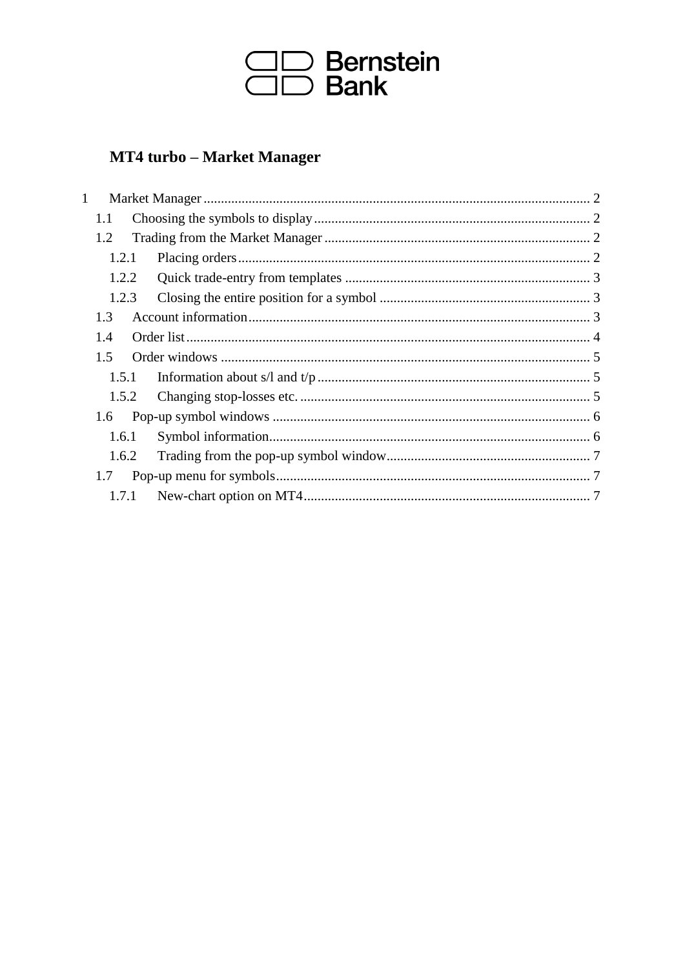

# **MT4 turbo - Market Manager**

| 1             |       |  |
|---------------|-------|--|
| 1.1           |       |  |
| 1.2           |       |  |
| 1.2.1         |       |  |
|               | 1.2.2 |  |
| 1.2.3         |       |  |
| 1.3           |       |  |
| 1.4           |       |  |
| $1.5^{\circ}$ |       |  |
|               | 1.5.1 |  |
| 1.5.2         |       |  |
| 1.6           |       |  |
| 1.6.1         |       |  |
| 1.6.2         |       |  |
| 1.7           |       |  |
|               | 1.7.1 |  |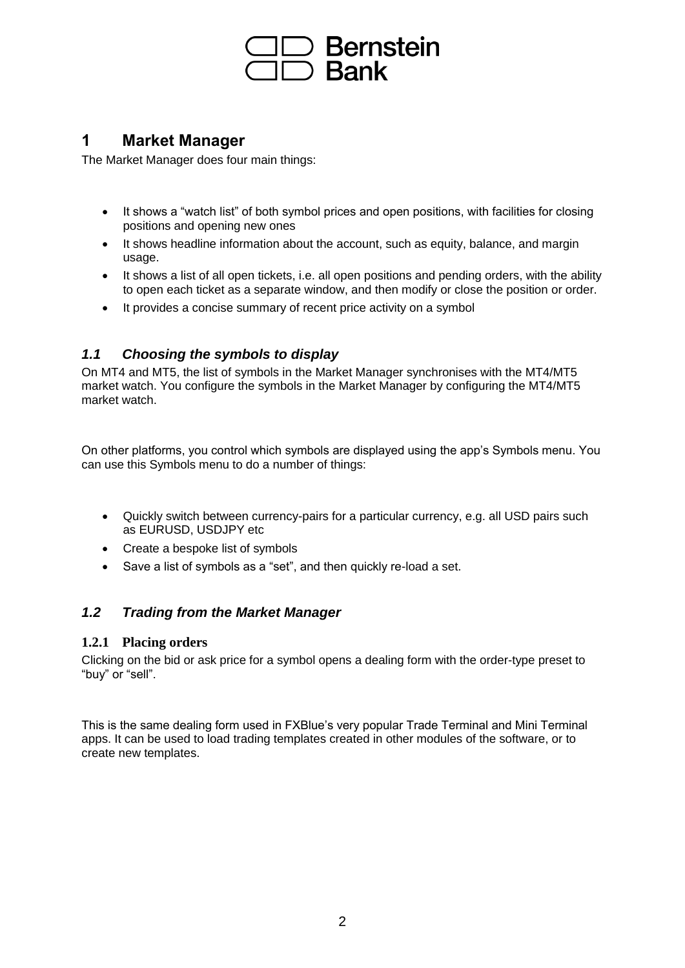

# **1 Market Manager**

The Market Manager does four main things:

- It shows a "watch list" of both symbol prices and open positions, with facilities for closing positions and opening new ones
- It shows headline information about the account, such as equity, balance, and margin usage.
- It shows a list of all open tickets, i.e. all open positions and pending orders, with the ability to open each ticket as a separate window, and then modify or close the position or order.
- It provides a concise summary of recent price activity on a symbol

# *1.1 Choosing the symbols to display*

On MT4 and MT5, the list of symbols in the Market Manager synchronises with the MT4/MT5 market watch. You configure the symbols in the Market Manager by configuring the MT4/MT5 market watch.

On other platforms, you control which symbols are displayed using the app's Symbols menu. You can use this Symbols menu to do a number of things:

- Quickly switch between currency-pairs for a particular currency, e.g. all USD pairs such as EURUSD, USDJPY etc
- Create a bespoke list of symbols
- Save a list of symbols as a "set", and then quickly re-load a set.

# *1.2 Trading from the Market Manager*

#### **1.2.1 Placing orders**

Clicking on the bid or ask price for a symbol opens a dealing form with the order-type preset to "buy" or "sell".

This is the same dealing form used in FXBlue's very popular Trade Terminal and Mini Terminal apps. It can be used to load trading templates created in other modules of the software, or to create new templates.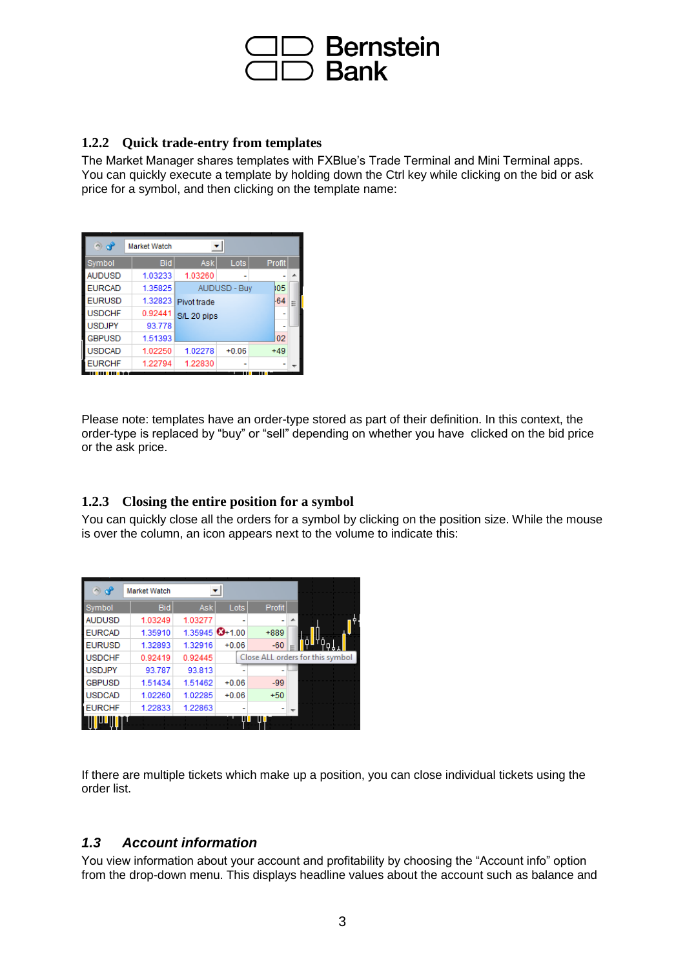

#### **1.2.2 Quick trade-entry from templates**

The Market Manager shares templates with FXBlue's Trade Terminal and Mini Terminal apps. You can quickly execute a template by holding down the Ctrl key while clicking on the bid or ask price for a symbol, and then clicking on the template name:

| ം ക           | <b>Market Watch</b> |                     |                     |               |   |
|---------------|---------------------|---------------------|---------------------|---------------|---|
| Symbol        | <b>Bid</b>          | Ask                 | Lots                | <b>Profit</b> |   |
| <b>AUDUSD</b> | 1.03233             | 1.03260             |                     |               |   |
| <b>EURCAD</b> | 1.35825             |                     | <b>AUDUSD - Buy</b> | ł05           |   |
| <b>EURUSD</b> |                     | 1.32823 Pivot trade |                     | -64           | Ξ |
| <b>USDCHF</b> | 0.92441             | S/L 20 pips         |                     |               |   |
| <b>USDJPY</b> | 93778               |                     |                     |               |   |
| <b>GBPUSD</b> | 1.51393             |                     |                     | 02            |   |
| <b>USDCAD</b> | 1.02250             | 1.02278             | $+0.06$             | $+49$         |   |
| <b>EURCHF</b> | 1.22794             | 1.22830             |                     |               |   |

Please note: templates have an order-type stored as part of their definition. In this context, the order-type is replaced by "buy" or "sell" depending on whether you have clicked on the bid price or the ask price.

#### **1.2.3 Closing the entire position for a symbol**

You can quickly close all the orders for a symbol by clicking on the position size. While the mouse is over the column, an icon appears next to the volume to indicate this:

| $\sim$ of     | <b>Market Watch</b> |                |         |               |                                  |
|---------------|---------------------|----------------|---------|---------------|----------------------------------|
| Symbol        | <b>Bid</b>          | <b>Ask</b>     | Lots    | <b>Profit</b> |                                  |
| <b>AUDUSD</b> | 1.03249             | 1.03277        |         |               |                                  |
| <b>EURCAD</b> | 1.35910             | 1.35945 3+1.00 |         | $+889$        |                                  |
| <b>EURUSD</b> | 1.32893             | 1.32916        | $+0.06$ | $-60$         |                                  |
| <b>USDCHF</b> | 0.92419             | 0.92445        |         |               | Close ALL orders for this symbol |
| <b>USDJPY</b> | 93.787              | 93.813         |         |               |                                  |
| <b>GBPUSD</b> | 1.51434             | 1.51462        | $+0.06$ | $-99$         |                                  |
| <b>USDCAD</b> | 1.02260             | 1.02285        | $+0.06$ | $+50$         |                                  |
| <b>EURCHF</b> | 1.22833             | 1.22863        |         |               |                                  |
|               |                     |                | Ш       | Ш             |                                  |

If there are multiple tickets which make up a position, you can close individual tickets using the order list.

# *1.3 Account information*

You view information about your account and profitability by choosing the "Account info" option from the drop-down menu. This displays headline values about the account such as balance and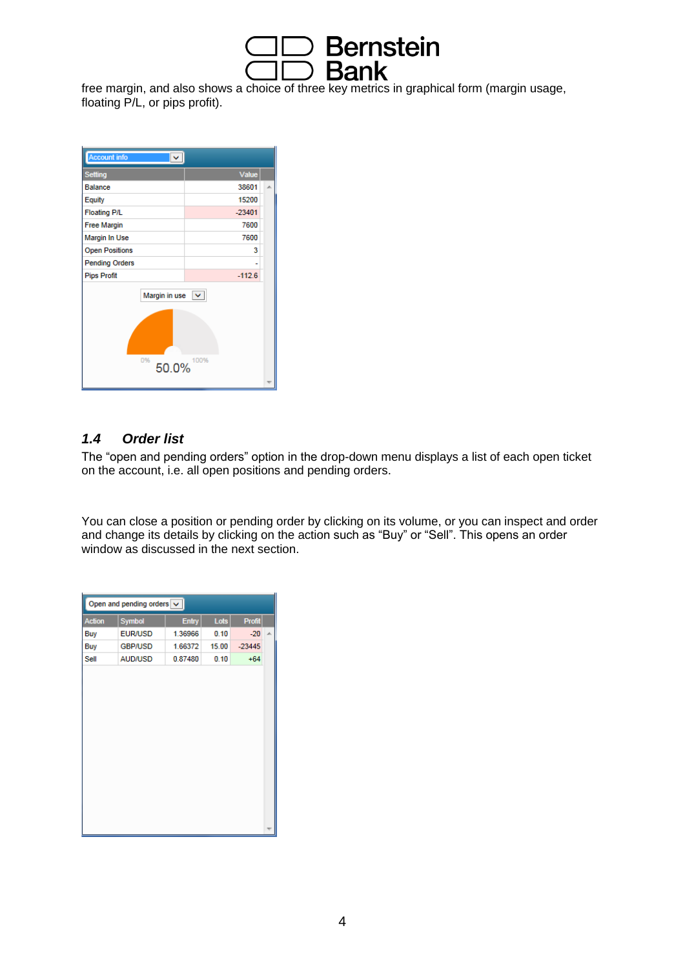

free margin, and also shows a choice of three key metrics in graphical form (margin usage, floating P/L, or pips profit).

| <b>Account info</b>              |          |  |
|----------------------------------|----------|--|
| <b>Setting</b>                   | Value    |  |
| <b>Balance</b>                   | 38601    |  |
| Equity                           | 15200    |  |
| <b>Floating P/L</b>              | $-23401$ |  |
| <b>Free Margin</b>               | 7600     |  |
| Margin In Use                    | 7600     |  |
| <b>Open Positions</b>            | 3        |  |
| <b>Pending Orders</b>            |          |  |
| <b>Pips Profit</b>               | $-112.6$ |  |
| Margin in use $\vert \vee \vert$ |          |  |
| 0%<br>50.0%                      | 100%     |  |
|                                  |          |  |

#### *1.4 Order list*

The "open and pending orders" option in the drop-down menu displays a list of each open ticket on the account, i.e. all open positions and pending orders.

You can close a position or pending order by clicking on its volume, or you can inspect and order and change its details by clicking on the action such as "Buy" or "Sell". This opens an order window as discussed in the next section.

| <b>Profit</b><br>Entry<br>Lots<br>Symbol<br><b>Action</b><br><b>EUR/USD</b><br>1.36966<br>0.10<br>$-20$<br>Buy<br>1.66372<br>15.00<br><b>GBP/USD</b><br>$-23445$<br>Buy<br>Sell<br><b>AUD/USD</b><br>$+64$<br>0.87480<br>0.10 | Open and pending orders $\vert \mathbf{v} \vert$ |  |  |  |  |   |  |  |
|-------------------------------------------------------------------------------------------------------------------------------------------------------------------------------------------------------------------------------|--------------------------------------------------|--|--|--|--|---|--|--|
|                                                                                                                                                                                                                               |                                                  |  |  |  |  |   |  |  |
|                                                                                                                                                                                                                               |                                                  |  |  |  |  | À |  |  |
|                                                                                                                                                                                                                               |                                                  |  |  |  |  |   |  |  |
|                                                                                                                                                                                                                               |                                                  |  |  |  |  |   |  |  |
|                                                                                                                                                                                                                               |                                                  |  |  |  |  |   |  |  |
|                                                                                                                                                                                                                               |                                                  |  |  |  |  |   |  |  |
|                                                                                                                                                                                                                               |                                                  |  |  |  |  |   |  |  |
|                                                                                                                                                                                                                               |                                                  |  |  |  |  |   |  |  |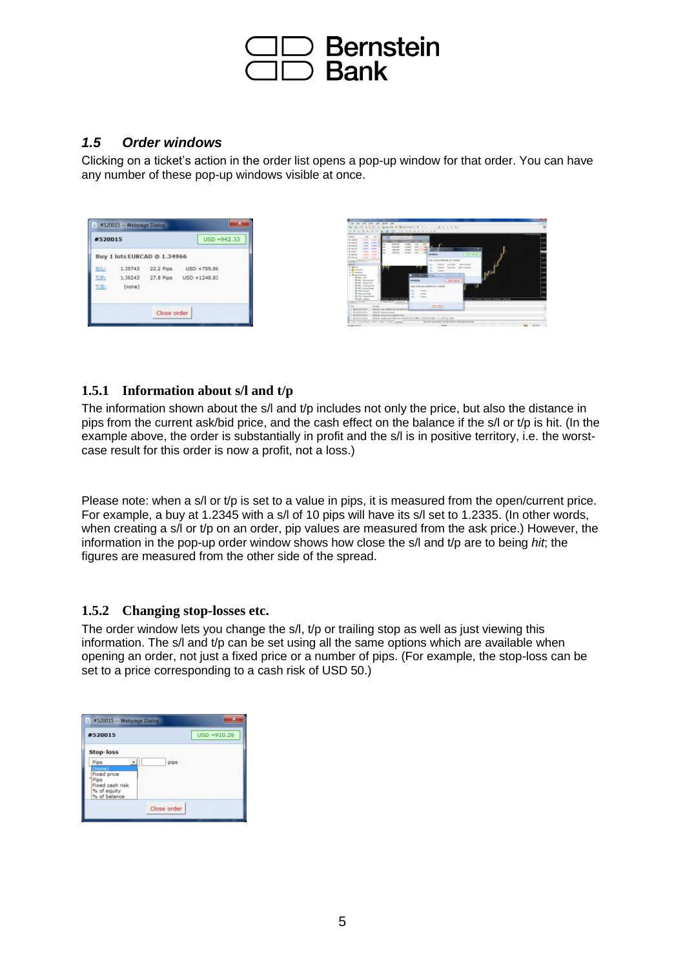

#### *1.5 Order windows*

Clicking on a ticket's action in the order list opens a pop-up window for that order. You can have any number of these pop-up windows visible at once.

| #520015     |         |                             | USD +942.33                    |  |
|-------------|---------|-----------------------------|--------------------------------|--|
|             |         | Buy 1 lots EURCAD @ 1.34966 |                                |  |
| <b>SALE</b> | 1,35743 |                             | 22.2 Pips USD +759.86          |  |
| $T/P$ :     |         |                             | 1.36243 27.8 Pips USD +1248.83 |  |
| T/S:        | (none)  |                             |                                |  |
|             |         |                             |                                |  |



#### **1.5.1 Information about s/l and t/p**

The information shown about the s/l and t/p includes not only the price, but also the distance in pips from the current ask/bid price, and the cash effect on the balance if the s/l or t/p is hit. (In the example above, the order is substantially in profit and the s/l is in positive territory, i.e. the worstcase result for this order is now a profit, not a loss.)

Please note: when a s/l or t/p is set to a value in pips, it is measured from the open/current price. For example, a buy at 1.2345 with a s/l of 10 pips will have its s/l set to 1.2335. (In other words, when creating a s/l or t/p on an order, pip values are measured from the ask price.) However, the information in the pop-up order window shows how close the s/l and t/p are to being *hit*; the figures are measured from the other side of the spread.

#### **1.5.2 Changing stop-losses etc.**

The order window lets you change the s/l, t/p or trailing stop as well as just viewing this information. The s/l and t/p can be set using all the same options which are available when opening an order, not just a fixed price or a number of pips. (For example, the stop-loss can be set to a price corresponding to a cash risk of USD 50.)

| #520015                                                       | USD +910.26 |
|---------------------------------------------------------------|-------------|
| Stop-loss                                                     |             |
| Pips<br>Fixed price<br>Pips<br>Fixed cash risk<br>% of equity | pips        |
| % of balance                                                  |             |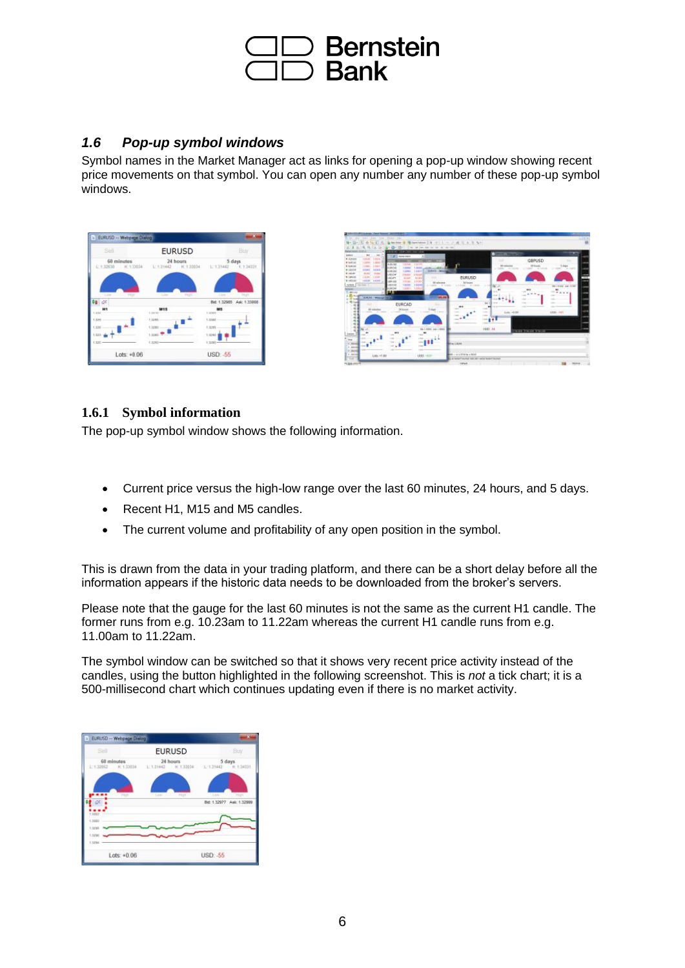

#### *1.6 Pop-up symbol windows*

Symbol names in the Market Manager act as links for opening a pop-up window showing recent price movements on that symbol. You can open any number any number of these pop-up symbol windows.

| Sell                          | <b>EURUSD</b>                                                           | Buy                                               |
|-------------------------------|-------------------------------------------------------------------------|---------------------------------------------------|
| 60 minutes                    | 24 hours<br>L'1.32638 H.1.33034 L'1.31442 H.1.33034 L'1.31442 H.1.34331 | 5 days                                            |
|                               |                                                                         |                                                   |
| <b>CONTRACT</b><br>Link<br>Ò. | <b>CANCLING</b><br>$-2.140$                                             | <b>PRIZE</b><br>Link<br>Bid: 1.32985 Ask: 1.33808 |
| нt<br>air                     | <b>M15</b><br>1,3810                                                    | M5<br>1.3385                                      |
| t kini                        | 1,3285                                                                  | 1.2380                                            |
| 1,326                         | 1:3283                                                                  | $+3285$                                           |
| 1323 -                        | Lister <sub>1</sub>                                                     | 1,3284                                            |
|                               | $+3280 -$                                                               | 1,3285                                            |
|                               |                                                                         |                                                   |



### **1.6.1 Symbol information**

The pop-up symbol window shows the following information.

- Current price versus the high-low range over the last 60 minutes, 24 hours, and 5 days.
- Recent H1, M15 and M5 candles.
- The current volume and profitability of any open position in the symbol.

This is drawn from the data in your trading platform, and there can be a short delay before all the information appears if the historic data needs to be downloaded from the broker's servers.

Please note that the gauge for the last 60 minutes is not the same as the current H1 candle. The former runs from e.g. 10.23am to 11.22am whereas the current H1 candle runs from e.g. 11.00am to 11.22am.

The symbol window can be switched so that it shows very recent price activity instead of the candles, using the button highlighted in the following screenshot. This is *not* a tick chart; it is a 500-millisecond chart which continues updating even if there is no market activity.

| Sell             |        | <b>EURUSD</b>                                                         |          | Buy                                            |
|------------------|--------|-----------------------------------------------------------------------|----------|------------------------------------------------|
| 60 minutes       |        | 24 hours<br>LT32652 H.1.33034 L.1.31442 H.1.33034 L.1.31442 H.1.34331 |          | 5 days                                         |
|                  |        |                                                                       |          |                                                |
| <b>High</b>      | $-180$ | <b>CONTRACTOR</b>                                                     | 3.546    | <b>COTT PRIPE</b><br>Bid: 1.32977 Ask: 1.32999 |
| 3332             |        |                                                                       |          |                                                |
| 0002.1<br>1.5295 |        |                                                                       |          |                                                |
| 1.529<br>1,5234  |        |                                                                       |          |                                                |
| $Lots: +0.06$    |        |                                                                       | USD: -55 |                                                |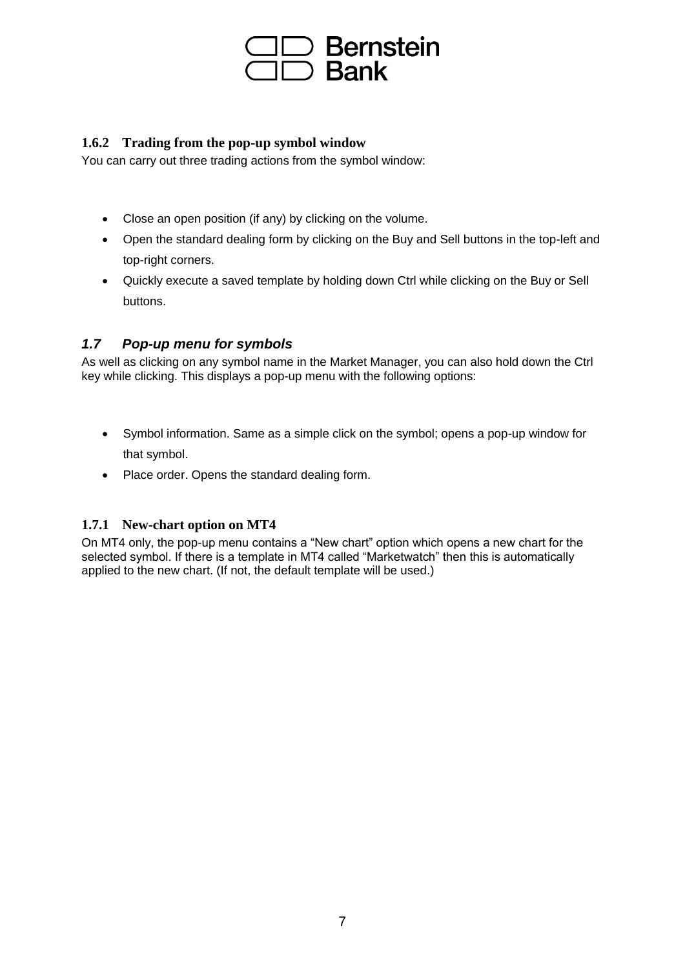

#### **1.6.2 Trading from the pop-up symbol window**

You can carry out three trading actions from the symbol window:

- Close an open position (if any) by clicking on the volume.
- Open the standard dealing form by clicking on the Buy and Sell buttons in the top-left and top-right corners.
- Quickly execute a saved template by holding down Ctrl while clicking on the Buy or Sell buttons.

#### *1.7 Pop-up menu for symbols*

As well as clicking on any symbol name in the Market Manager, you can also hold down the Ctrl key while clicking. This displays a pop-up menu with the following options:

- Symbol information. Same as a simple click on the symbol; opens a pop-up window for that symbol.
- Place order. Opens the standard dealing form.

#### **1.7.1 New-chart option on MT4**

On MT4 only, the pop-up menu contains a "New chart" option which opens a new chart for the selected symbol. If there is a template in MT4 called "Marketwatch" then this is automatically applied to the new chart. (If not, the default template will be used.)